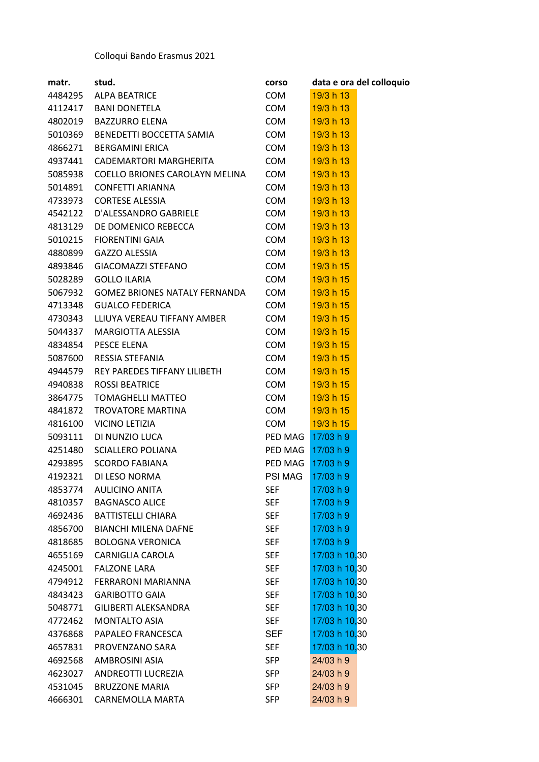## Colloqui Bando Erasmus 2021

| matr.   | stud.                                | corso          | data e ora del colloquio |
|---------|--------------------------------------|----------------|--------------------------|
| 4484295 | <b>ALPA BEATRICE</b>                 | <b>COM</b>     | 19/3 h 13                |
| 4112417 | BANI DONETELA                        | <b>COM</b>     | 19/3 h 13                |
| 4802019 | <b>BAZZURRO ELENA</b>                | <b>COM</b>     | 19/3 h 13                |
| 5010369 | BENEDETTI BOCCETTA SAMIA             | <b>COM</b>     | 19/3 h 13                |
| 4866271 | <b>BERGAMINI ERICA</b>               | <b>COM</b>     | 19/3 h 13                |
| 4937441 | CADEMARTORI MARGHERITA               | <b>COM</b>     | 19/3 h 13                |
| 5085938 | COELLO BRIONES CAROLAYN MELINA       | COM            | 19/3 h 13                |
| 5014891 | <b>CONFETTI ARIANNA</b>              | <b>COM</b>     | 19/3 h 13                |
| 4733973 | <b>CORTESE ALESSIA</b>               | COM            | 19/3 h 13                |
| 4542122 | D'ALESSANDRO GABRIELE                | <b>COM</b>     | 19/3 h 13                |
| 4813129 | DE DOMENICO REBECCA                  | <b>COM</b>     | 19/3 h 13                |
| 5010215 | <b>FIORENTINI GAIA</b>               | <b>COM</b>     | 19/3 h 13                |
| 4880899 | <b>GAZZO ALESSIA</b>                 | <b>COM</b>     | 19/3 h 13                |
| 4893846 | GIACOMAZZI STEFANO                   | COM            | 19/3 h 15                |
| 5028289 | <b>GOLLO ILARIA</b>                  | <b>COM</b>     | 19/3 h 15                |
| 5067932 | <b>GOMEZ BRIONES NATALY FERNANDA</b> | <b>COM</b>     | 19/3 h 15                |
| 4713348 | <b>GUALCO FEDERICA</b>               | <b>COM</b>     | 19/3 h 15                |
| 4730343 | LLIUYA VEREAU TIFFANY AMBER          | COM            | 19/3 h 15                |
| 5044337 | MARGIOTTA ALESSIA                    | COM            | 19/3 h 15                |
| 4834854 | PESCE ELENA                          | <b>COM</b>     | 19/3 h 15                |
| 5087600 | RESSIA STEFANIA                      | COM            | 19/3 h 15                |
| 4944579 | REY PAREDES TIFFANY LILIBETH         | <b>COM</b>     | 19/3 h 15                |
| 4940838 | <b>ROSSI BEATRICE</b>                | <b>COM</b>     | 19/3 h 15                |
| 3864775 | TOMAGHELLI MATTEO                    | COM            | 19/3 h 15                |
| 4841872 | TROVATORE MARTINA                    | <b>COM</b>     | 19/3 h 15                |
| 4816100 | VICINO LETIZIA                       | <b>COM</b>     | 19/3 h 15                |
| 5093111 | DI NUNZIO LUCA                       | PED MAG        | 17/03 h 9                |
| 4251480 | SCIALLERO POLIANA                    | PED MAG        | 17/03 h 9                |
| 4293895 | <b>SCORDO FABIANA</b>                | PED MAG        | 17/03 h 9                |
| 4192321 | DI LESO NORMA                        | <b>PSI MAG</b> | 17/03 h 9                |
| 4853774 | <b>AULICINO ANITA</b>                | <b>SEF</b>     | 17/03 h 9                |
| 4810357 | <b>BAGNASCO ALICE</b>                | <b>SEF</b>     | 17/03 h 9                |
| 4692436 | <b>BATTISTELLI CHIARA</b>            | <b>SEF</b>     | 17/03 h 9                |
| 4856700 | <b>BIANCHI MILENA DAFNE</b>          | <b>SEF</b>     | 17/03 h 9                |
| 4818685 | <b>BOLOGNA VERONICA</b>              | <b>SEF</b>     | 17/03 h 9                |
| 4655169 | CARNIGLIA CAROLA                     | <b>SEF</b>     | 17/03 h 10,30            |
| 4245001 | <b>FALZONE LARA</b>                  | <b>SEF</b>     | 17/03 h 10,30            |
| 4794912 | <b>FERRARONI MARIANNA</b>            | <b>SEF</b>     | 17/03 h 10,30            |
| 4843423 | <b>GARIBOTTO GAIA</b>                | <b>SEF</b>     | 17/03 h 10,30            |
| 5048771 | GILIBERTI ALEKSANDRA                 | <b>SEF</b>     | 17/03 h 10,30            |
| 4772462 | <b>MONTALTO ASIA</b>                 | <b>SEF</b>     | 17/03 h 10,30            |
| 4376868 | PAPALEO FRANCESCA                    | <b>SEF</b>     | 17/03 h 10,30            |
| 4657831 | PROVENZANO SARA                      | <b>SEF</b>     | 17/03 h 10,30            |
| 4692568 | AMBROSINI ASIA                       | <b>SFP</b>     | 24/03 h 9                |
| 4623027 | ANDREOTTI LUCREZIA                   | <b>SFP</b>     | 24/03 h 9                |
| 4531045 | <b>BRUZZONE MARIA</b>                | <b>SFP</b>     | 24/03 h 9                |
| 4666301 | CARNEMOLLA MARTA                     | <b>SFP</b>     | 24/03 h 9                |